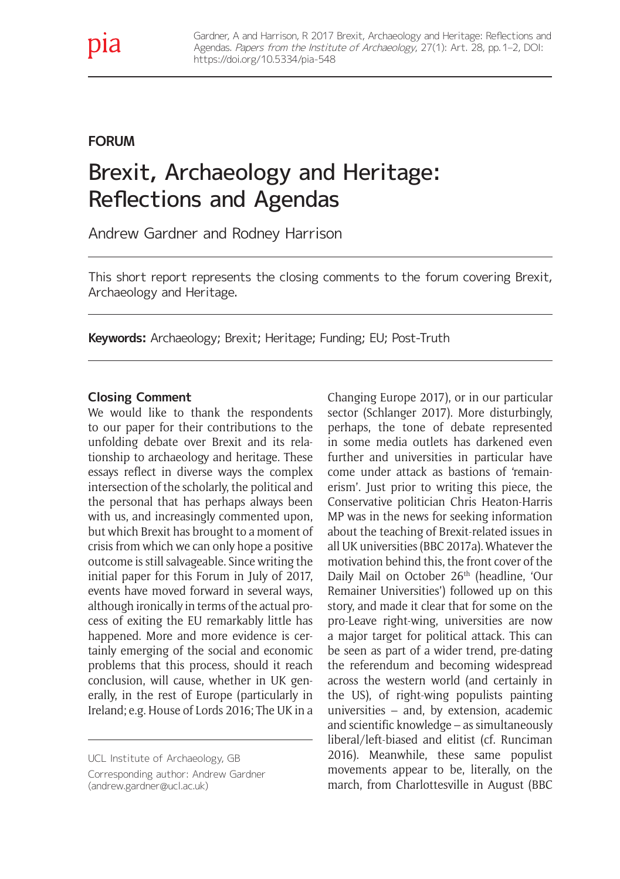# **FORUM**

# Brexit, Archaeology and Heritage: Reflections and Agendas

Andrew Gardner and Rodney Harrison

This short report represents the closing comments to the forum covering Brexit, Archaeology and Heritage.

**Keywords:** Archaeology; Brexit; Heritage; Funding; EU; Post-Truth

#### **Closing Comment**

We would like to thank the respondents to our paper for their contributions to the unfolding debate over Brexit and its relationship to archaeology and heritage. These essays reflect in diverse ways the complex intersection of the scholarly, the political and the personal that has perhaps always been with us, and increasingly commented upon, but which Brexit has brought to a moment of crisis from which we can only hope a positive outcome is still salvageable. Since writing the initial paper for this Forum in July of 2017, events have moved forward in several ways, although ironically in terms of the actual process of exiting the EU remarkably little has happened. More and more evidence is certainly emerging of the social and economic problems that this process, should it reach conclusion, will cause, whether in UK generally, in the rest of Europe (particularly in Ireland; e.g. House of Lords 2016; The UK in a

in some media outlets has darkened even further and universities in particular have come under attack as bastions of 'remainerism'. Just prior to writing this piece, the Conservative politician Chris Heaton-Harris MP was in the news for seeking information about the teaching of Brexit-related issues in all UK universities (BBC 2017a). Whatever the motivation behind this, the front cover of the Daily Mail on October 26<sup>th</sup> (headline, 'Our Remainer Universities') followed up on this story, and made it clear that for some on the pro-Leave right-wing, universities are now a major target for political attack. This can be seen as part of a wider trend, pre-dating the referendum and becoming widespread across the western world (and certainly in the US), of right-wing populists painting universities – and, by extension, academic and scientific knowledge – as simultaneously liberal/left-biased and elitist (cf. Runciman 2016). Meanwhile, these same populist movements appear to be, literally, on the march, from Charlottesville in August (BBC

Changing Europe 2017), or in our particular sector (Schlanger 2017). More disturbingly, perhaps, the tone of debate represented

UCL Institute of Archaeology, GB Corresponding author: Andrew Gardner [\(andrew.gardner@ucl.ac.uk](mailto:andrew.gardner@ucl.ac.uk))